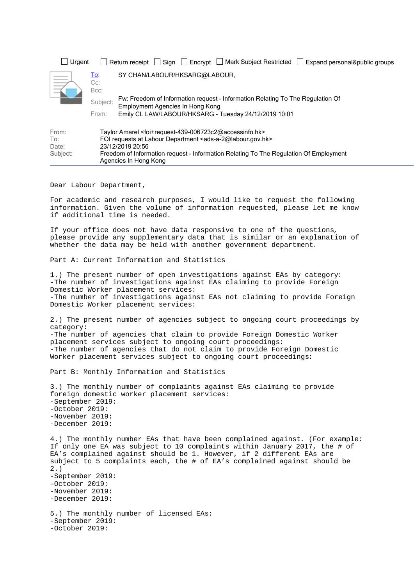| Urgent                            |                              | Return receipt $\Box$ Sign $\Box$ Encrypt $\Box$ Mark Subject Restricted  <br>Expand personal&public groups                                                                                                                                                                                                                    |  |
|-----------------------------------|------------------------------|--------------------------------------------------------------------------------------------------------------------------------------------------------------------------------------------------------------------------------------------------------------------------------------------------------------------------------|--|
|                                   | <u>To:</u><br>$Cc$ :<br>Bcc: | SY CHAN/LABOUR/HKSARG@LABOUR,                                                                                                                                                                                                                                                                                                  |  |
|                                   | Subject:<br>From:            | Fw: Freedom of Information request - Information Relating To The Regulation Of<br>Employment Agencies In Hong Kong<br>Emily CL LAW/LABOUR/HKSARG - Tuesday 24/12/2019 10:01                                                                                                                                                    |  |
| From:<br>To:<br>Date:<br>Subject: |                              | Taylor Amarel <foi+request-439-006723c2@accessinfo.hk><br/>FOI requests at Labour Department <ads-a-2@labour.gov.hk><br/>23/12/2019 20:56<br/>Freedom of Information request - Information Relating To The Regulation Of Employment<br/>Agencies In Hong Kong</ads-a-2@labour.gov.hk></foi+request-439-006723c2@accessinfo.hk> |  |

Dear Labour Department,

For academic and research purposes, I would like to request the following information. Given the volume of information requested, please let me know if additional time is needed.

If your office does not have data responsive to one of the questions, please provide any supplementary data that is similar or an explanation of whether the data may be held with another government department.

Part A: Current Information and Statistics

1.) The present number of open investigations against EAs by category: -The number of investigations against EAs claiming to provide Foreign Domestic Worker placement services: -The number of investigations against EAs not claiming to provide Foreign Domestic Worker placement services:

2.) The present number of agencies subject to ongoing court proceedings by category: -The number of agencies that claim to provide Foreign Domestic Worker placement services subject to ongoing court proceedings: -The number of agencies that do not claim to provide Foreign Domestic Worker placement services subject to ongoing court proceedings:

Part B: Monthly Information and Statistics

3.) The monthly number of complaints against EAs claiming to provide foreign domestic worker placement services: -September 2019: -October 2019: -November 2019: -December 2019:

4.) The monthly number EAs that have been complained against. (For example: If only one EA was subject to 10 complaints within January 2017, the # of EA's complained against should be 1. However, if 2 different EAs are subject to 5 complaints each, the # of EA's complained against should be 2.) -September 2019: -October 2019: -November 2019: -December 2019: 5.) The monthly number of licensed EAs: -September 2019: -October 2019: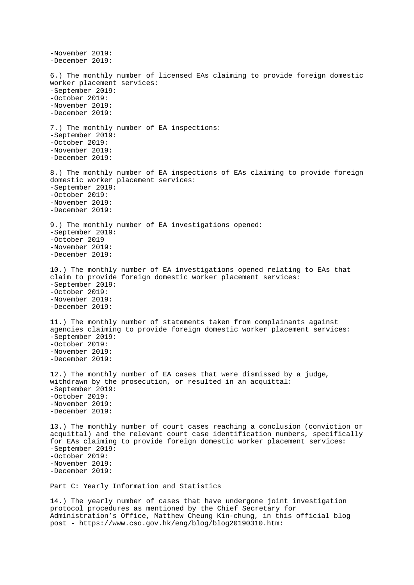```
-November 2019:
-December 2019:
6.) The monthly number of licensed EAs claiming to provide foreign domestic 
worker placement services:
-September 2019:
-October 2019:
-November 2019:
-December 2019:
7.) The monthly number of EA inspections:
-September 2019:
-October 2019:
-November 2019:
-December 2019:
8.) The monthly number of EA inspections of EAs claiming to provide foreign 
domestic worker placement services:
-September 2019:
-October 2019:
-November 2019:
-December 2019:
9.) The monthly number of EA investigations opened:
-September 2019:
-October 2019
-November 2019:
-December 2019:
10.) The monthly number of EA investigations opened relating to EAs that 
claim to provide foreign domestic worker placement services:
-September 2019:
-October 2019:
-November 2019:
-December 2019:
11.) The monthly number of statements taken from complainants against 
agencies claiming to provide foreign domestic worker placement services:
-September 2019:
-October 2019:
-November 2019:
-December 2019:
12.) The monthly number of EA cases that were dismissed by a judge, 
withdrawn by the prosecution, or resulted in an acquittal:
-September 2019:
-October 2019:
-November 2019:
-December 2019:
13.) The monthly number of court cases reaching a conclusion (conviction or 
acquittal) and the relevant court case identification numbers, specifically 
for EAs claiming to provide foreign domestic worker placement services:
-September 2019:
-October 2019:
-November 2019:
-December 2019:
Part C: Yearly Information and Statistics
14.) The yearly number of cases that have undergone joint investigation 
protocol procedures as mentioned by the Chief Secretary for 
Administration's Office, Matthew Cheung Kin-chung, in this official blog 
post - https://www.cso.gov.hk/eng/blog/blog20190310.htm:
```